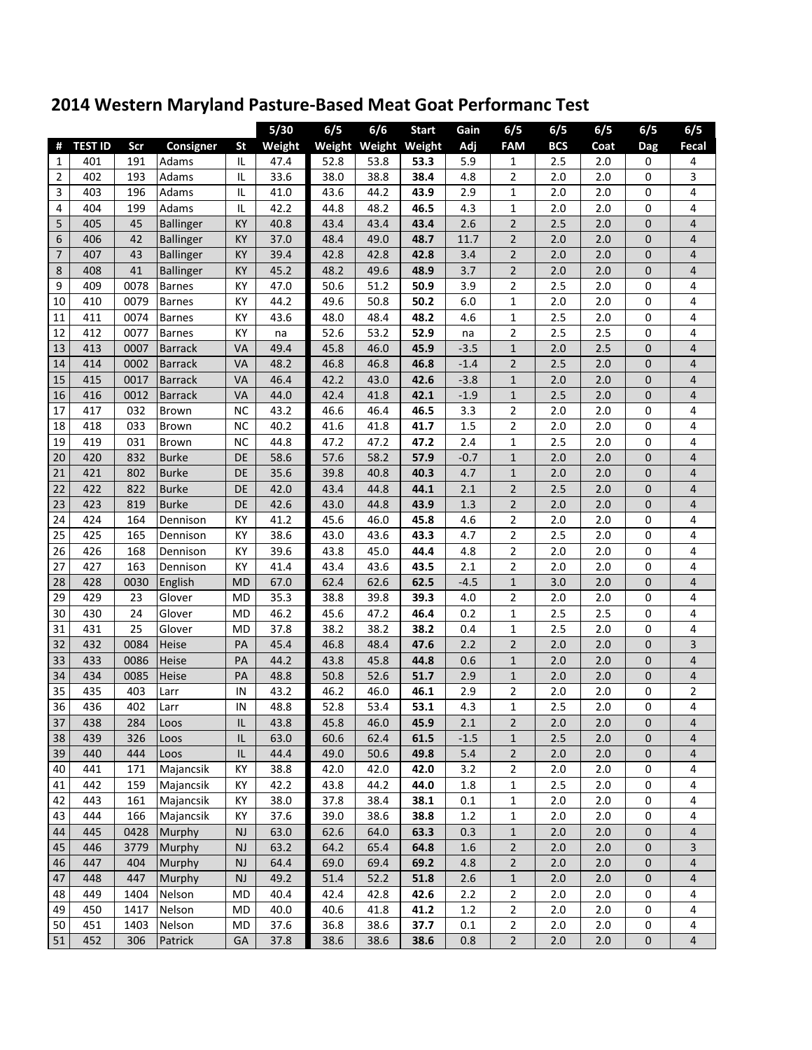|                |                |      |                  |           | 5/30   | 6/5  | 6/6                  | <b>Start</b> | Gain   | 6/5            | 6/5        | 6/5   | 6/5            | 6/5            |
|----------------|----------------|------|------------------|-----------|--------|------|----------------------|--------------|--------|----------------|------------|-------|----------------|----------------|
| Ħ              | <b>TEST ID</b> | Scr  | <b>Consigner</b> | <b>St</b> | Weight |      | Weight Weight Weight |              | Adj    | <b>FAM</b>     | <b>BCS</b> | Coat  | Dag            | Fecal          |
| 1              | 401            | 191  | Adams            | IL        | 47.4   | 52.8 | 53.8                 | 53.3         | 5.9    | 1              | 2.5        | 2.0   | 0              | 4              |
| $\overline{2}$ | 402            | 193  | Adams            | IL        | 33.6   | 38.0 | 38.8                 | 38.4         | 4.8    | 2              | 2.0        | 2.0   | 0              | 3              |
| 3              | 403            | 196  | Adams            | IL        | 41.0   | 43.6 | 44.2                 | 43.9         | 2.9    | 1              | 2.0        | 2.0   | 0              | 4              |
| 4              | 404            | 199  | Adams            | IL        | 42.2   | 44.8 | 48.2                 | 46.5         | 4.3    | $\mathbf 1$    | 2.0        | 2.0   | 0              | 4              |
| 5              | 405            | 45   | <b>Ballinger</b> | KY        | 40.8   | 43.4 | 43.4                 | 43.4         | 2.6    | $\overline{2}$ | 2.5        | 2.0   | $\mathbf 0$    | 4              |
| 6              | 406            | 42   | Ballinger        | KY        | 37.0   | 48.4 | 49.0                 | 48.7         | 11.7   | $\overline{2}$ | 2.0        | 2.0   | $\mathbf 0$    | 4              |
| $\overline{7}$ | 407            | 43   | <b>Ballinger</b> | KY        | 39.4   | 42.8 | 42.8                 | 42.8         | 3.4    | $\overline{2}$ | 2.0        | 2.0   | $\overline{0}$ | 4              |
| 8              | 408            | 41   | <b>Ballinger</b> | KY        | 45.2   | 48.2 | 49.6                 | 48.9         | 3.7    | $\overline{2}$ | 2.0        | 2.0   | $\mathbf 0$    | $\overline{4}$ |
| 9              | 409            | 0078 | <b>Barnes</b>    | KY        | 47.0   | 50.6 | 51.2                 | 50.9         | 3.9    | 2              | 2.5        | 2.0   | 0              | 4              |
| 10             | 410            | 0079 | <b>Barnes</b>    | KY        | 44.2   | 49.6 | 50.8                 | 50.2         | 6.0    | 1              | 2.0        | 2.0   | $\mathbf 0$    | 4              |
| 11             | 411            | 0074 | <b>Barnes</b>    | KY        | 43.6   | 48.0 | 48.4                 | 48.2         | 4.6    | 1              | 2.5        | 2.0   | $\mathbf 0$    | 4              |
| 12             | 412            | 0077 | <b>Barnes</b>    | KY        | na     | 52.6 | 53.2                 | 52.9         | na     | $\overline{c}$ | 2.5        | 2.5   | 0              | 4              |
| 13             | 413            | 0007 | <b>Barrack</b>   | VA        | 49.4   | 45.8 | 46.0                 | 45.9         | $-3.5$ | $\mathbf{1}$   | 2.0        | 2.5   | $\mathbf 0$    | 4              |
| 14             | 414            | 0002 | <b>Barrack</b>   | VA        | 48.2   | 46.8 | 46.8                 | 46.8         | $-1.4$ | $\overline{2}$ | 2.5        | 2.0   | $\overline{0}$ | 4              |
| 15             | 415            | 0017 | <b>Barrack</b>   | VA        | 46.4   | 42.2 | 43.0                 | 42.6         | $-3.8$ | $\mathbf{1}$   | 2.0        | 2.0   | $\mathbf 0$    | 4              |
| 16             | 416            | 0012 | <b>Barrack</b>   | VA        | 44.0   | 42.4 | 41.8                 | 42.1         | $-1.9$ | $\mathbf{1}$   | 2.5        | 2.0   | $\mathbf 0$    | 4              |
| 17             | 417            | 032  | Brown            | <b>NC</b> | 43.2   | 46.6 | 46.4                 | 46.5         | 3.3    | 2              | 2.0        | 2.0   | 0              | 4              |
| 18             | 418            | 033  | Brown            | <b>NC</b> | 40.2   | 41.6 | 41.8                 | 41.7         | 1.5    | 2              | 2.0        | 2.0   | 0              | 4              |
| 19             | 419            | 031  | Brown            | <b>NC</b> | 44.8   | 47.2 | 47.2                 | 47.2         | 2.4    | 1              | 2.5        | 2.0   | 0              | 4              |
| 20             | 420            | 832  | <b>Burke</b>     | DE        | 58.6   | 57.6 | 58.2                 | 57.9         | $-0.7$ | 1              | 2.0        | 2.0   | 0              | 4              |
| 21             | 421            | 802  | <b>Burke</b>     | DE        | 35.6   | 39.8 | 40.8                 | 40.3         | 4.7    | 1              | 2.0        | 2.0   | 0              | 4              |
| 22             | 422            | 822  | <b>Burke</b>     | DE        | 42.0   | 43.4 | 44.8                 | 44.1         | 2.1    | $\overline{2}$ | 2.5        | 2.0   | $\mathbf 0$    | 4              |
| 23             | 423            | 819  | <b>Burke</b>     | <b>DE</b> | 42.6   | 43.0 | 44.8                 | 43.9         | 1.3    | $\overline{2}$ | 2.0        | 2.0   | $\mathbf 0$    | 4              |
| 24             | 424            | 164  | Dennison         | KY        | 41.2   | 45.6 | 46.0                 | 45.8         | 4.6    | 2              | 2.0        | 2.0   | 0              | 4              |
| 25             | 425            | 165  | Dennison         | KY        | 38.6   | 43.0 | 43.6                 | 43.3         | 4.7    | 2              | 2.5        | 2.0   | 0              | 4              |
| 26             | 426            | 168  | Dennison         | KY        | 39.6   | 43.8 | 45.0                 | 44.4         | 4.8    | 2              | 2.0        | 2.0   | 0              | 4              |
| 27             | 427            | 163  | Dennison         | KY        | 41.4   | 43.4 | 43.6                 | 43.5         | 2.1    | 2              | 2.0        | 2.0   | $\mathbf 0$    | 4              |
| 28             | 428            | 0030 | English          | <b>MD</b> | 67.0   | 62.4 | 62.6                 | 62.5         | $-4.5$ | $\mathbf{1}$   | 3.0        | 2.0   | $\mathbf 0$    | 4              |
| 29             | 429            | 23   | Glover           | <b>MD</b> | 35.3   | 38.8 | 39.8                 | 39.3         | 4.0    | 2              | 2.0        | 2.0   | 0              | 4              |
| 30             | 430            | 24   | Glover           | MD        | 46.2   | 45.6 | 47.2                 | 46.4         | 0.2    | $\mathbf 1$    | 2.5        | 2.5   | 0              | 4              |
| 31             | 431            | 25   | Glover           | MD        | 37.8   | 38.2 | 38.2                 | 38.2         | 0.4    | $\mathbf 1$    | 2.5        | 2.0   | 0              | 4              |
| 32             | 432            | 0084 | Heise            | PA        | 45.4   | 46.8 | 48.4                 | 47.6         | 2.2    | $\overline{2}$ | 2.0        | 2.0   | $\overline{0}$ | 3              |
| 33             | 433            | 0086 | Heise            | PA        | 44.2   | 43.8 | 45.8                 | 44.8         | 0.6    | $\mathbf{1}$   | 2.0        | 2.0   | $\overline{0}$ | 4              |
| 34             | 434            | 0085 | Heise            | PA        | 48.8   | 50.8 | 52.6                 | 51.7         | 2.9    | $\mathbf{1}$   | 2.0        | 2.0   | $\mathbf 0$    | 4              |
| 35             | 435            | 403  | Larr             | IN        | 43.2   | 46.2 | 46.0                 | 46.1         | 2.9    | 2              | 2.0        | 2.0   | 0              | $\overline{c}$ |
| 36             | 436            | 402  | Larr             | IN        | 48.8   | 52.8 | 53.4                 | 53.1         | 4.3    | 1              | 2.5        | 2.0   | $\mathbf 0$    | 4              |
| 37             | 438            | 284  | Loos             | IL        | 43.8   | 45.8 | 46.0                 | 45.9         | 2.1    | $\overline{2}$ | 2.0        | 2.0   | 0              | 4              |
| 38             | 439            | 326  | Loos             | IL        | 63.0   | 60.6 | 62.4                 | 61.5         | $-1.5$ | $\mathbf 1$    | 2.5        | 2.0   | $\mathbf 0$    | 4              |
| 39             | 440            | 444  | Loos             | IL        | 44.4   | 49.0 | 50.6                 | 49.8         | 5.4    | $\overline{2}$ | 2.0        | 2.0   | $\mathbf 0$    | 4              |
| 40             | 441            | 171  | Majancsik        | KY        | 38.8   | 42.0 | 42.0                 | 42.0         | 3.2    | 2              | 2.0        | $2.0$ | 0              | 4              |
| 41             | 442            | 159  | Majancsik        | KY        | 42.2   | 43.8 | 44.2                 | 44.0         | 1.8    | 1              | 2.5        | 2.0   | $\pmb{0}$      | 4              |
| 42             | 443            | 161  | Majancsik        | KY        | 38.0   | 37.8 | 38.4                 | 38.1         | 0.1    | 1              | 2.0        | 2.0   | 0              | 4              |
| 43             | 444            | 166  | Majancsik        | KY        | 37.6   | 39.0 | 38.6                 | 38.8         | 1.2    | $\mathbf 1$    | 2.0        | 2.0   | 0              | 4              |
| 44             | 445            | 0428 | Murphy           | <b>NJ</b> | 63.0   | 62.6 | 64.0                 | 63.3         | 0.3    | $\mathbf{1}$   | 2.0        | 2.0   | $\pmb{0}$      | 4              |
| 45             | 446            | 3779 | Murphy           | <b>NJ</b> | 63.2   | 64.2 | 65.4                 | 64.8         | 1.6    | $\overline{2}$ | 2.0        | 2.0   | 0              | 3              |
| 46             | 447            | 404  | Murphy           | <b>NJ</b> | 64.4   | 69.0 | 69.4                 | 69.2         | 4.8    | 2              | 2.0        | 2.0   | 0              | 4              |
| 47             | 448            | 447  | Murphy           | NJ        | 49.2   | 51.4 | 52.2                 | 51.8         | 2.6    | $\mathbf{1}$   | 2.0        | 2.0   | 0              | 4              |
| 48             | 449            | 1404 | Nelson           | MD        | 40.4   | 42.4 | 42.8                 | 42.6         | 2.2    | 2              | 2.0        | 2.0   | 0              | 4              |
| 49             | 450            | 1417 | Nelson           | MD        | 40.0   | 40.6 | 41.8                 | 41.2         | 1.2    | 2              | 2.0        | 2.0   | 0              | 4              |
| 50             | 451            | 1403 | Nelson           | MD        | 37.6   | 36.8 | 38.6                 | 37.7         | 0.1    | $\overline{2}$ | 2.0        | 2.0   | 0              | 4              |
| 51             | 452            | 306  | Patrick          | GA        | 37.8   | 38.6 | 38.6                 | 38.6         | 0.8    | $\overline{2}$ | 2.0        | 2.0   | $\pmb{0}$      | 4              |

## **2014 Western Maryland Pasture‐Based Meat Goat Performanc Test**